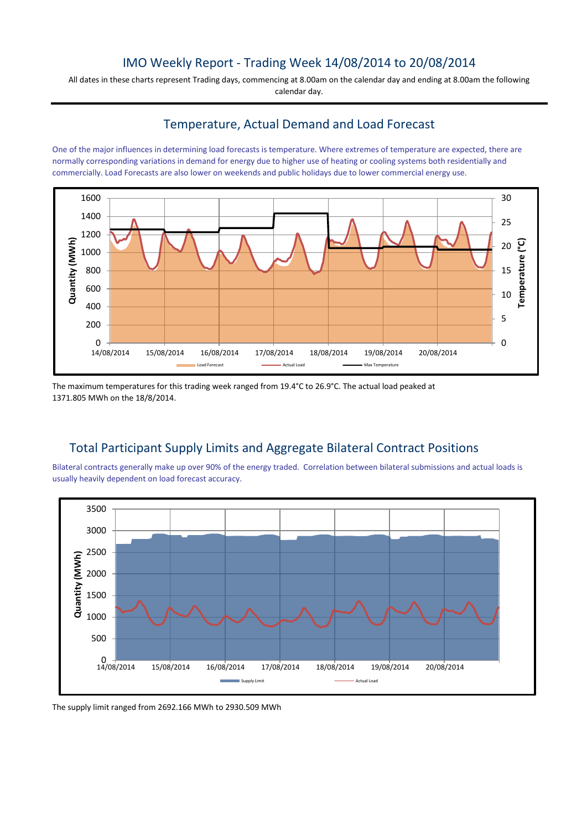## IMO Weekly Report - Trading Week 14/08/2014 to 20/08/2014

All dates in these charts represent Trading days, commencing at 8.00am on the calendar day and ending at 8.00am the following calendar day.

## Temperature, Actual Demand and Load Forecast

One of the major influences in determining load forecasts is temperature. Where extremes of temperature are expected, there are normally corresponding variations in demand for energy due to higher use of heating or cooling systems both residentially and commercially. Load Forecasts are also lower on weekends and public holidays due to lower commercial energy use.



The maximum temperatures for this trading week ranged from 19.4°C to 26.9°C. The actual load peaked at 1371.805 MWh on the 18/8/2014.

## Total Participant Supply Limits and Aggregate Bilateral Contract Positions

Bilateral contracts generally make up over 90% of the energy traded. Correlation between bilateral submissions and actual loads is usually heavily dependent on load forecast accuracy.



The supply limit ranged from 2692.166 MWh to 2930.509 MWh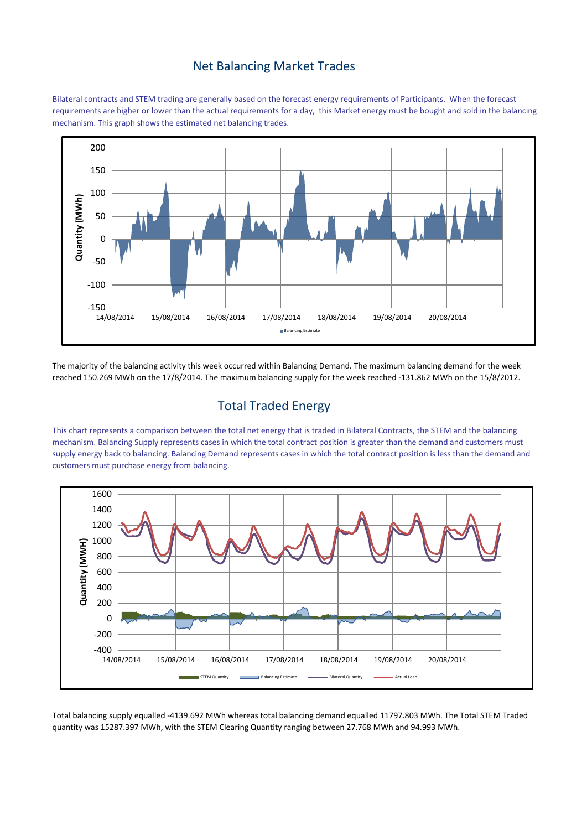#### Net Balancing Market Trades

Bilateral contracts and STEM trading are generally based on the forecast energy requirements of Participants. When the forecast requirements are higher or lower than the actual requirements for a day, this Market energy must be bought and sold in the balancing mechanism. This graph shows the estimated net balancing trades.



The majority of the balancing activity this week occurred within Balancing Demand. The maximum balancing demand for the week reached 150.269 MWh on the 17/8/2014. The maximum balancing supply for the week reached -131.862 MWh on the 15/8/2012.

# Total Traded Energy

This chart represents a comparison between the total net energy that is traded in Bilateral Contracts, the STEM and the balancing mechanism. Balancing Supply represents cases in which the total contract position is greater than the demand and customers must supply energy back to balancing. Balancing Demand represents cases in which the total contract position is less than the demand and customers must purchase energy from balancing.



Total balancing supply equalled -4139.692 MWh whereas total balancing demand equalled 11797.803 MWh. The Total STEM Traded quantity was 15287.397 MWh, with the STEM Clearing Quantity ranging between 27.768 MWh and 94.993 MWh.